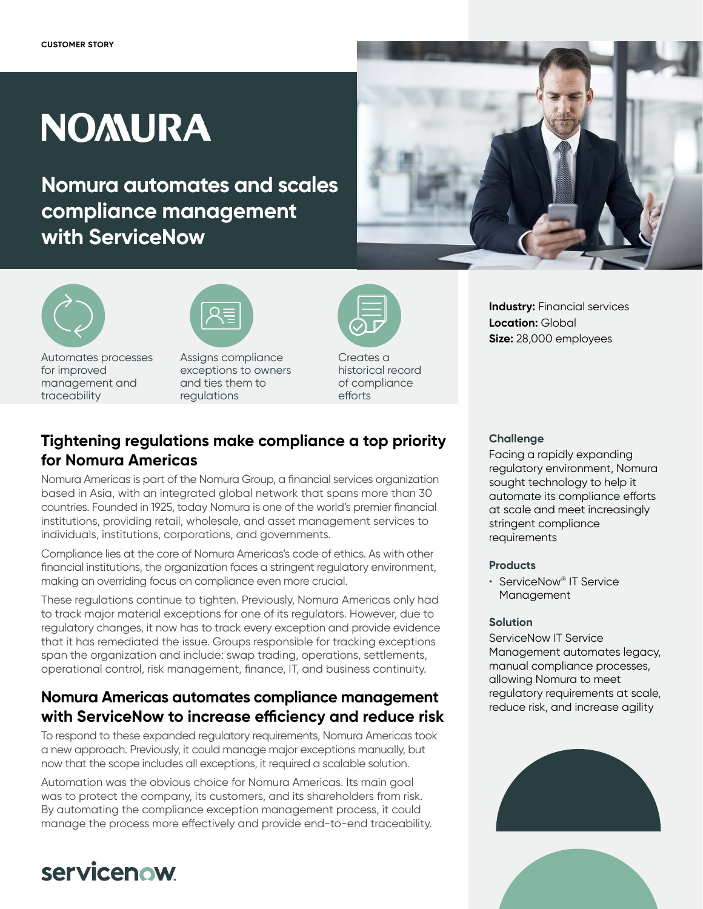# **NOMURA**

**Nomura automates and scales compliance management with ServiceNow**



Automates processes for improved management and traceability



Assigns compliance exceptions to owners and ties them to regulations



Creates a historical record of compliance efforts

# **Tightening regulations make compliance a top priority for Nomura Americas**

Nomura Americas is part of the Nomura Group, a financial services organization based in Asia, with an integrated global network that spans more than 30 countries. Founded in 1925, today Nomura is one of the world's premier financial institutions, providing retail, wholesale, and asset management services to individuals, institutions, corporations, and governments.

Compliance lies at the core of Nomura Americas's code of ethics. As with other financial institutions, the organization faces a stringent regulatory environment, making an overriding focus on compliance even more crucial.

These regulations continue to tighten. Previously, Nomura Americas only had to track major material exceptions for one of its regulators. However, due to regulatory changes, it now has to track every exception and provide evidence that it has remediated the issue. Groups responsible for tracking exceptions span the organization and include: swap trading, operations, settlements, operational control, risk management, finance, IT, and business continuity.

### **Nomura Americas automates compliance management with ServiceNow to increase efficiency and reduce risk**

To respond to these expanded regulatory requirements, Nomura Americas took a new approach. Previously, it could manage major exceptions manually, but now that the scope includes all exceptions, it required a scalable solution.

Automation was the obvious choice for Nomura Americas. Its main goal was to protect the company, its customers, and its shareholders from risk. By automating the compliance exception management process, it could manage the process more effectively and provide end-to-end traceability.

# servicenow

#### **Challenge**

Facing a rapidly expanding regulatory environment, Nomura sought technology to help it automate its compliance efforts at scale and meet increasingly stringent compliance requirements

**Industry:** Financial services

**Size:** 28,000 employees

**Location:** Global

#### **Products**

• ServiceNow® IT Service Management

#### **Solution**

ServiceNow IT Service Management automates legacy, manual compliance processes, allowing Nomura to meet regulatory requirements at scale, reduce risk, and increase agility